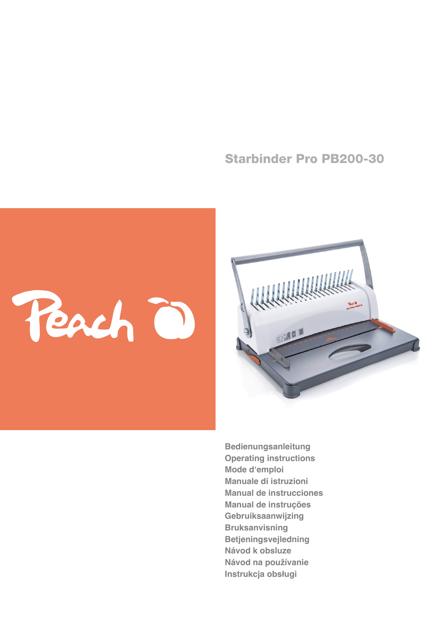# Starbinder Pro PB200-30





**Bedienungsanleitung Operating instructions Mode d'emploi Manuale di istruzioni Manual de instrucciones Manual de instruções Gebruiksaanwijzing Bruksanvisning Betjeningsvejledning Návod k obsluze Návod na používanie Instrukcja obsługi**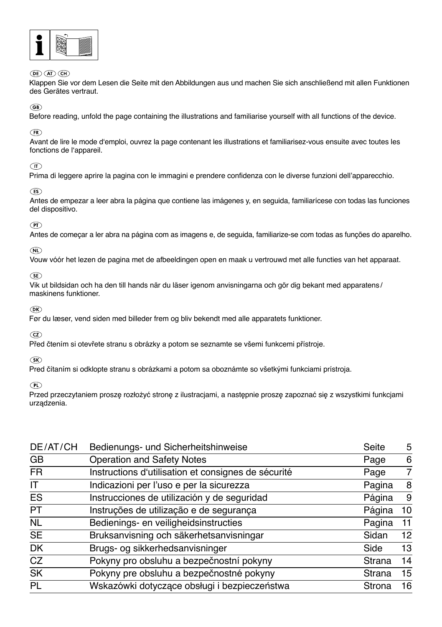

#### $\overline{CD}$   $\overline{AD}$   $\overline{CH}$

Klappen Sie vor dem Lesen die Seite mit den Abbildungen aus und machen Sie sich anschließend mit allen Funktionen des Gerätes vertraut.

#### $\overline{GB}$

Before reading, unfold the page containing the illustrations and familiarise yourself with all functions of the device.

#### $(FR)$

Avant de lire le mode d'emploi, ouvrez la page contenant les illustrations et familiarisez-vous ensuite avec toutes les fonctions de l'appareil.

#### $\sqrt{\pi}$

Prima di leggere aprire la pagina con le immagini e prendere confidenza con le diverse funzioni dell'apparecchio.

#### $(ES)$

Antes de empezar a leer abra la página que contiene las imágenes y, en seguida, familiarícese con todas las funciones del dispositivo.

#### $\odot$

Antes de começar a ler abra na página com as imagens e, de seguida, familiarize-se com todas as funções do aparelho.

#### $(PL)$

Vouw vóór het lezen de pagina met de afbeeldingen open en maak u vertrouwd met alle functies van het apparaat.

#### $\overline{SE}$

Vik ut bildsidan och ha den till hands när du läser igenom anvisningarna och gör dig bekant med apparatens / maskinens funktioner.

#### $(DR)$

Før du læser, vend siden med billeder frem og bliv bekendt med alle apparatets funktioner.

#### $\widehat{\mathsf{CZ}}$

Před čtením si otevřete stranu s obrázky a potom se seznamte se všemi funkcemi přístroje.

#### $(SK)$

Pred čítaním si odklopte stranu s obrázkami a potom sa oboznámte so všetkými funkciami prístroja.

#### $\bigcirc$

Przed przeczytaniem proszę rozłożyć stronę z ilustracjami, a następnie proszę zapoznać się z wszystkimi funkcjami urządzenia.

| DE/AT/CH  | Bedienungs- und Sicherheitshinweise                 | Seite  | 5  |
|-----------|-----------------------------------------------------|--------|----|
| <b>GB</b> | <b>Operation and Safety Notes</b>                   | Page   | 6  |
| <b>FR</b> | Instructions d'utilisation et consignes de sécurité | Page   | 7  |
| ΙT        | Indicazioni per l'uso e per la sicurezza            | Pagina | 8  |
| <b>ES</b> | Instrucciones de utilización y de seguridad         | Página | 9  |
| <b>PT</b> | Instruções de utilização e de segurança             | Página | 10 |
| <b>NL</b> | Bedienings- en veiligheidsinstructies               | Pagina | 11 |
| <b>SE</b> | Bruksanvisning och säkerhetsanvisningar             | Sidan  | 12 |
| <b>DK</b> | Brugs- og sikkerhedsanvisninger                     | Side   | 13 |
| CZ        | Pokyny pro obsluhu a bezpečnostní pokyny            | Strana | 14 |
| <b>SK</b> | Pokyny pre obsluhu a bezpečnostné pokyny            | Strana | 15 |
| PL        | Wskazówki dotyczące obsługi i bezpieczeństwa        | Strona | 16 |
|           |                                                     |        |    |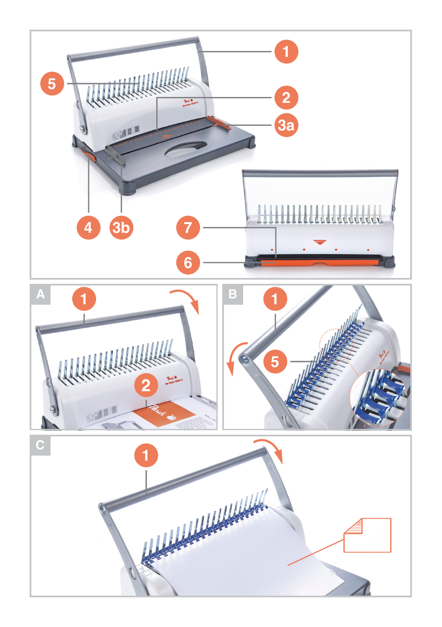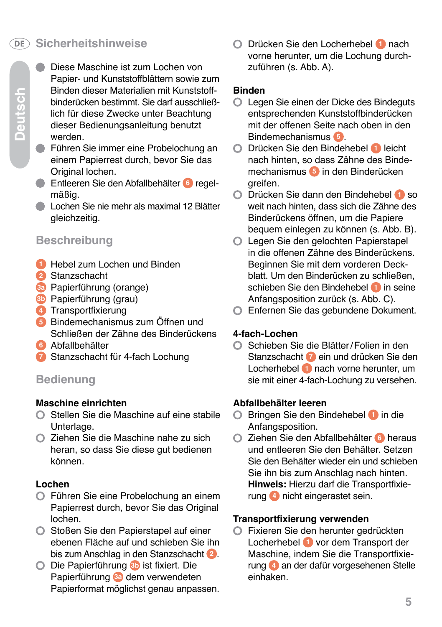# **Sicherheitshinweise**

- Diese Maschine ist zum Lochen von Papier- und Kunststoffblättern sowie zum Binden dieser Materialien mit Kunststoffbinderücken bestimmt. Sie darf ausschließlich für diese Zwecke unter Beachtung dieser Bedienungsanleitung benutzt werden.
- **O** Führen Sie immer eine Probelochung an einem Papierrest durch, bevor Sie das Original lochen.
- Entleeren Sie den Abfallbehälter **6** regelmäßig.
- **O** Lochen Sie nie mehr als maximal 12 Blätter gleichzeitig.

# **Beschreibung**

- **1** Hebel zum Lochen und Binden
- **2** Stanzschacht
- **3a** Papierführung (orange)
- **3b** Papierführung (grau)
- **4** Transportfixierung
- **5** Bindemechanismus zum Öffnen und Schließen der Zähne des Binderückens
- **6** Abfallbehälter
- **7** Stanzschacht für 4-fach Lochung

# **Bedienung**

# **Maschine einrichten**

- **◯ Stellen Sie die Maschine auf eine stabile** Unterlage.
- Ziehen Sie die Maschine nahe zu sich heran, so dass Sie diese gut bedienen können.

# **Lochen**

- Führen Sie eine Probelochung an einem Papierrest durch, bevor Sie das Original lochen.
- Stoßen Sie den Papierstapel auf einer ebenen Fläche auf und schieben Sie ihn bis zum Anschlag in den Stanzschacht **2** .
- Die Papierführung **3b** ist fixiert. Die Papierführung **3a** dem verwendeten Papierformat möglichst genau anpassen.

 Drücken Sie den Locherhebel **1** nach vorne herunter, um die Lochung durchzuführen (s. Abb. A).

# **Binden**

- Legen Sie einen der Dicke des Bindeguts entsprechenden Kunststoffbinderücken mit der offenen Seite nach oben in den Bindemechanismus **5** .
- Drücken Sie den Bindehebel **1** leicht nach hinten, so dass Zähne des Bindemechanismus **5** in den Binderücken greifen.
- Drücken Sie dann den Bindehebel **1** so weit nach hinten, dass sich die Zähne des Binderückens öffnen, um die Papiere bequem einlegen zu können (s. Abb. B).
- O Legen Sie den gelochten Papierstapel in die offenen Zähne des Binderückens. Beginnen Sie mit dem vorderen Deckblatt. Um den Binderücken zu schließen, schieben Sie den Bindehebel **1** in seine Anfangsposition zurück (s. Abb. C).
- Enfernen Sie das gebundene Dokument.

# **4-fach-Lochen**

 Schieben Sie die Blätter/Folien in den Stanzschacht **7** ein und drücken Sie den Locherhebel **1** nach vorne herunter, um sie mit einer 4-fach-Lochung zu versehen.

# **Abfallbehälter leeren**

- Bringen Sie den Bindehebel **1** in die Anfangsposition.
- Ziehen Sie den Abfallbehälter **6** heraus und entleeren Sie den Behälter. Setzen Sie den Behälter wieder ein und schieben Sie ihn bis zum Anschlag nach hinten. **Hinweis:** Hierzu darf die Transportfixierung **4** nicht eingerastet sein.

# **Transportfixierung verwenden**

 Fixieren Sie den herunter gedrückten Locherhebel **1** vor dem Transport der Maschine, indem Sie die Transportfixierung **4** an der dafür vorgesehenen Stelle einhaken.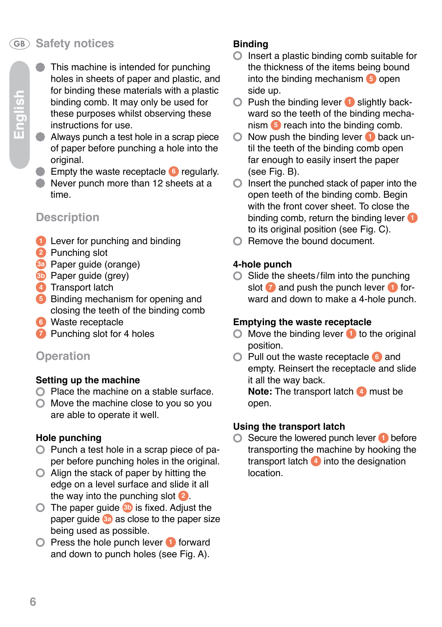# **Safety notices**

- **English**
- **O** This machine is intended for punching holes in sheets of paper and plastic, and for binding these materials with a plastic binding comb. It may only be used for these purposes whilst observing these instructions for use.
- **C** Always punch a test hole in a scrap piece of paper before punching a hole into the original.
- **Empty the waste receptacle 6** regularly.
- Never punch more than 12 sheets at a time.

# **Description**

- **1** Lever for punching and binding
- **2** Punching slot
- **3a** Paper guide (orange)
- **3b** Paper guide (grey)
- **4** Transport latch
- **5** Binding mechanism for opening and closing the teeth of the binding comb
- **6** Waste receptacle
- **7** Punching slot for 4 holes

# **Operation**

# **Setting up the machine**

- $\bigcirc$  Place the machine on a stable surface.
- $\bigcirc$  Move the machine close to you so you are able to operate it well.

# **Hole punching**

- $\bigcirc$  Punch a test hole in a scrap piece of paper before punching holes in the original.
- $\bigcirc$  Align the stack of paper by hitting the edge on a level surface and slide it all the way into the punching slot **2** .
- **O** The paper quide **3b** is fixed. Adjust the paper guide **3a** as close to the paper size being used as possible.
- Press the hole punch lever **1** forward and down to punch holes (see Fig. A).

# **Binding**

- $\bigcirc$  Insert a plastic binding comb suitable for the thickness of the items being bound into the binding mechanism **5** open side up.
- **O** Push the binding lever **1** slightly backward so the teeth of the binding mechanism **5** reach into the binding comb.
- Now push the binding lever **1** back until the teeth of the binding comb open far enough to easily insert the paper (see Fig. B).
- $\bigcirc$  Insert the punched stack of paper into the open teeth of the binding comb. Begin with the front cover sheet. To close the binding comb, return the binding lever **1** to its original position (see Fig. C).
- Remove the bound document.

# **4-hole punch**

 $\bigcirc$  Slide the sheets/film into the punching slot **7** and push the punch lever **1** forward and down to make a 4-hole punch.

# **Emptying the waste receptacle**

- Move the binding lever **1** to the original position.
- Pull out the waste receptacle **6** and empty. Reinsert the receptacle and slide it all the way back.

**Note:** The transport latch **4** must be open.

# **Using the transport latch**

 Secure the lowered punch lever **1** before transporting the machine by hooking the transport latch **4** into the designation location.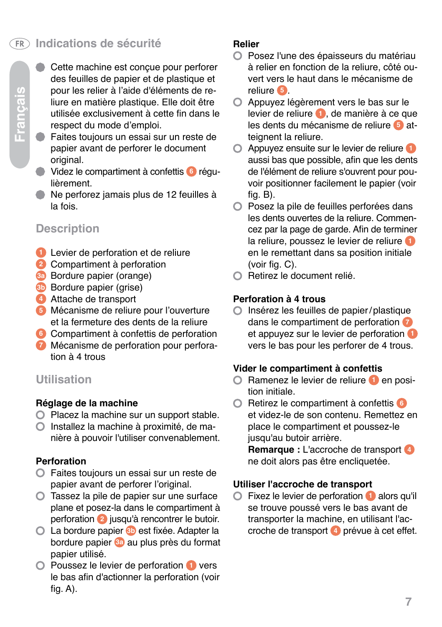# **Indications de sécurité**

- **Français**
- Cette machine est concue pour perforer des feuilles de papier et de plastique et pour les relier à l'aide d'éléments de reliure en matière plastique. Elle doit être utilisée exclusivement à cette fin dans le respect du mode d'emploi.
- **O** Faites toujours un essai sur un reste de papier avant de perforer le document original.
- Videz le compartiment à confettis **6** régulièrement.
- Ne perforez jamais plus de 12 feuilles à la fois.

# **Description**

- **1** Levier de perforation et de reliure
- **2** Compartiment à perforation
- **3a** Bordure papier (orange)
- **3b** Bordure papier (grise)
- **4** Attache de transport
- **5** Mécanisme de reliure pour l'ouverture et la fermeture des dents de la reliure
- **6** Compartiment à confettis de perforation
- **7** Mécanisme de perforation pour perforation à 4 trous

# **Utilisation**

# **Réglage de la machine**

- $\bigcirc$  Placez la machine sur un support stable.
- Installez la machine à proximité, de manière à pouvoir l'utiliser convenablement.

# **Perforation**

- Faites toujours un essai sur un reste de papier avant de perforer l'original.
- Tassez la pile de papier sur une surface plane et posez-la dans le compartiment à perforation **2** jusqu'à rencontrer le butoir.
- La bordure papier **3b** est fixée. Adapter la bordure papier **3a** au plus près du format papier utilisé.
- Poussez le levier de perforation **1** vers le bas afin d'actionner la perforation (voir fig. A).

# **Relier**

- Posez l'une des épaisseurs du matériau à relier en fonction de la reliure, côté ouvert vers le haut dans le mécanisme de reliure **5** .
- Appuyez légèrement vers le bas sur le  $\Omega$ levier de reliure **1** , de manière à ce que les dents du mécanisme de reliure **5** atteignent la reliure.
- Appuyez ensuite sur le levier de reliure **1** aussi bas que possible, afin que les dents de l'élément de reliure s'ouvrent pour pouvoir positionner facilement le papier (voir fig. B).
- Posez la pile de feuilles perforées dans les dents ouvertes de la reliure. Commencez par la page de garde. Afin de terminer la reliure, poussez le levier de reliure **1** en le remettant dans sa position initiale (voir fig. C).
- Retirez le document relié.

# **Perforation à 4 trous**

Insérez les feuilles de papier/plastique  $\Omega$ dans le compartiment de perforation **7** et appuyez sur le levier de perforation **1** vers le bas pour les perforer de 4 trous.

# **Vider le compartiment à confettis**

- Ramenez le levier de reliure **1** en position initiale.
- Retirez le compartiment à confettis **6** et videz-le de son contenu. Remettez en place le compartiment et poussez-le jusqu'au butoir arrière.

**Remarque :** L'accroche de transport **4** ne doit alors pas être encliquetée.

# **Utiliser l'accroche de transport**

 Fixez le levier de perforation **1** alors qu'il se trouve poussé vers le bas avant de transporter la machine, en utilisant l'accroche de transport **4** prévue à cet effet.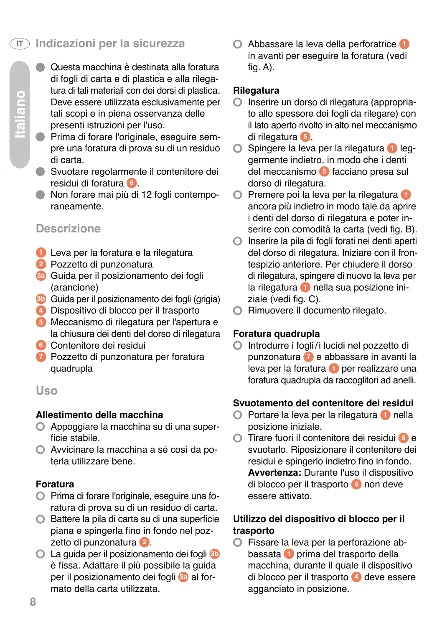# **Indicazioni per la sicurezza**

- **Italiano**
- Questa macchina è destinata alla foratura di fogli di carta e di plastica e alla rilegatura di tali materiali con dei dorsi di plastica. Deve essere utilizzata esclusivamente per tali scopi e in piena osservanza delle presenti istruzioni per l'uso.
- **O** Prima di forare l'originale, eseguire sempre una foratura di prova su di un residuo di carta.
- Svuotare regolarmente il contenitore dei residui di foratura **6** .
- Non forare mai più di 12 fogli contemporaneamente.

# **Descrizione**

- **1** Leva per la foratura e la rilegatura
- **2** Pozzetto di punzonatura
- **3a** Guida per il posizionamento dei fogli (arancione)
- **3b** Guida per il posizionamento dei fogli (grigia)
- **4** Dispositivo di blocco per il trasporto
- **5** Meccanismo di rilegatura per l'apertura e la chiusura dei denti del dorso di rilegatura
- **6** Contenitore dei residui
- **7** Pozzetto di punzonatura per foratura quadrupla

# **Uso**

# **Allestimento della macchina**

- Appoggiare la macchina su di una superficie stabile.
- Avvicinare la macchina a sé così da poterla utilizzare bene.

#### **Foratura**

- Prima di forare l'originale, eseguire una foratura di prova su di un residuo di carta.
- Battere la pila di carta su di una superficie piana e spingerla fino in fondo nel pozzetto di punzonatura **2** .
- La guida per il posizionamento dei fogli **3b** è fissa. Adattare il più possibile la guida per il posizionamento dei fogli **3a** al formato della carta utilizzata.

 Abbassare la leva della perforatrice **1** in avanti per eseguire la foratura (vedi  $f$ ia. A $)$ .

# **Rilegatura**<br> **O** Inserire

- Inserire un dorso di rilegatura (appropriato allo spessore dei fogli da rilegare) con il lato aperto rivolto in alto nel meccanismo di rilegatura **5** .
- Spingere la leva per la rilegatura **1** leggermente indietro, in modo che i denti del meccanismo **5** facciano presa sul dorso di rilegatura.
- Premere poi la leva per la rilegatura **1** ancora più indietro in modo tale da aprire i denti del dorso di rilegatura e poter inserire con comodità la carta (vedi fig. B).
- Inserire la pila di fogli forati nei denti aperti del dorso di rilegatura. Iniziare con il frontespizio anteriore. Per chiudere il dorso di rilegatura, spingere di nuovo la leva per la rilegatura **1** nella sua posizione iniziale (vedi fig. C).
- C Rimuovere il documento rilegato.

# **Foratura quadrupla**

 Introdurre i fogli/i lucidi nel pozzetto di punzonatura **7** e abbassare in avanti la leva per la foratura **1** per realizzare una foratura quadrupla da raccoglitori ad anelli.

# **Svuotamento del contenitore dei residui**

- Portare la leva per la rilegatura **1** nella posizione iniziale.
- Tirare fuori il contenitore dei residui **6** e svuotarlo. Riposizionare il contenitore dei residui e spingerlo indietro fino in fondo. **Avvertenza:** Durante l'uso il dispositivo di blocco per il trasporto **4** non deve essere attivato.

#### **Utilizzo del dispositivo di blocco per il trasporto**

 Fissare la leva per la perforazione abbassata **1** prima del trasporto della macchina, durante il quale il dispositivo di blocco per il trasporto **4** deve essere agganciato in posizione.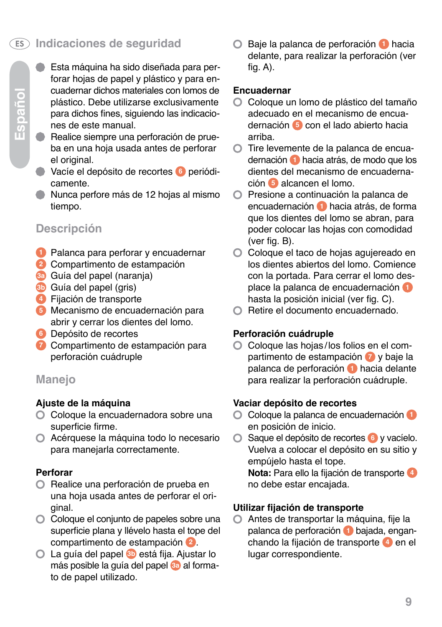# **Indicaciones de seguridad**

- Esta máquina ha sido diseñada para perforar hojas de papel y plástico y para encuadernar dichos materiales con lomos de plástico. Debe utilizarse exclusivamente para dichos fines, siguiendo las indicaciones de este manual.
- **C** Realice siempre una perforación de prueba en una hoja usada antes de perforar el original.
- Vacíe el depósito de recortes **6** periódicamente.
- Nunca perfore más de 12 hojas al mismo tiempo.

# **Descripción**

- **1** Palanca para perforar y encuadernar
- **2** Compartimento de estampación
- **3a** Guía del papel (naranja)
- **3b** Guía del papel (gris)
- **4** Fijación de transporte
- **5** Mecanismo de encuadernación para abrir y cerrar los dientes del lomo.
- **6** Depósito de recortes
- **7** Compartimento de estampación para perforación cuádruple

# **Manejo**

# **Ajuste de la máquina**

- Coloque la encuadernadora sobre una superficie firme.
- Acérquese la máquina todo lo necesario para manejarla correctamente.

# **Perforar**

- O Realice una perforación de prueba en una hoja usada antes de perforar el original.
- Coloque el conjunto de papeles sobre una superficie plana y llévelo hasta el tope del compartimento de estampación **2** .
- La guía del papel **3b** está fija. Ajustar lo más posible la guía del papel **3a** al formato de papel utilizado.

Baje la palanca de perforación **1** hacia delante, para realizar la perforación (ver fig.  $A$ ).

# **Encuadernar**<br> **Cologue U**

- Coloque un lomo de plástico del tamaño adecuado en el mecanismo de encuadernación **5** con el lado abierto hacia arriba.
- Tire levemente de la palanca de encuadernación **1** hacia atrás, de modo que los dientes del mecanismo de encuadernación **5** alcancen el lomo.
- O Presione a continuación la palanca de encuadernación **1** hacia atrás, de forma que los dientes del lomo se abran, para poder colocar las hojas con comodidad (ver fig. B).
- Coloque el taco de hojas agujereado en los dientes abiertos del lomo. Comience con la portada. Para cerrar el lomo desplace la palanca de encuadernación **1** hasta la posición inicial (ver fig. C).
- Retire el documento encuadernado.

# **Perforación cuádruple**

Coloque las hojas /los folios en el compartimento de estampación **7** y baje la palanca de perforación **1** hacia delante para realizar la perforación cuádruple.

# **Vaciar depósito de recortes**

- Coloque la palanca de encuadernación **1** en posición de inicio.
- Saque el depósito de recortes **6** y vacíelo. Vuelva a colocar el depósito en su sitio y empújelo hasta el tope.

**Nota:** Para ello la fijación de transporte **4** no debe estar encajada.

# **Utilizar fijación de transporte**

Antes de transportar la máquina, fije la  $\circ$ palanca de perforación **1** bajada, enganchando la fijación de transporte **4** en el lugar correspondiente.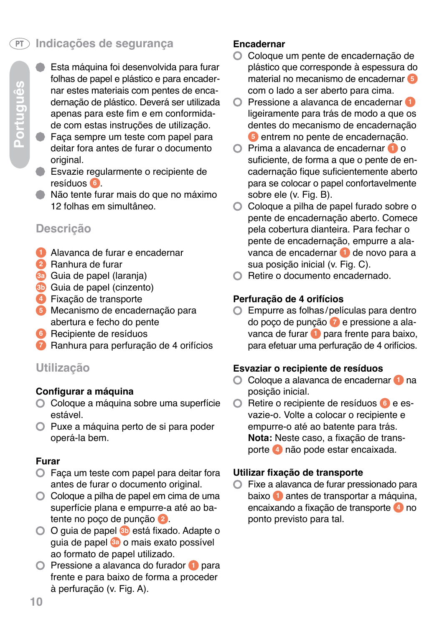# **Indicações de segurança**

- Esta máquina foi desenvolvida para furar folhas de papel e plástico e para encadernar estes materiais com pentes de encadernação de plástico. Deverá ser utilizada apenas para este fim e em conformidade com estas instruções de utilização.
- **O** Faca sempre um teste com papel para deitar fora antes de furar o documento original.
- **Esvazie regularmente o recipiente de** resíduos **6** .
- Não tente furar mais do que no máximo 12 folhas em simultâneo.

# **Descrição**

- **1** Alavanca de furar e encadernar
- **2** Ranhura de furar
- **3a** Guia de papel (laranja)
- **3b** Guia de papel (cinzento)
- **4** Fixação de transporte
- **5** Mecanismo de encadernação para abertura e fecho do pente
- **6** Recipiente de resíduos
- **7** Ranhura para perfuração de 4 orifícios

# **Utilização**

#### **Configurar a máquina**

- Coloque a máquina sobre uma superfície estável.
- Puxe a máquina perto de si para poder operá-la bem.

#### **Furar**

- Faça um teste com papel para deitar fora antes de furar o documento original.
- Coloque a pilha de papel em cima de uma superfície plana e empurre-a até ao batente no poço de punção **2** .
- O guia de papel **3b** está fixado. Adapte o guia de papel **3a** o mais exato possível ao formato de papel utilizado.
- Pressione a alavanca do furador **1** para frente e para baixo de forma a proceder à perfuração (v. Fig. A).

# **Encadernar**

- Coloque um pente de encadernação de plástico que corresponde à espessura do material no mecanismo de encadernar **5** com o lado a ser aberto para cima.
- Pressione a alavanca de encadernar **1** ligeiramente para trás de modo a que os dentes do mecanismo de encadernação **5** entrem no pente de encadernação.
- Prima a alavanca de encadernar **1** o suficiente, de forma a que o pente de encadernação fique suficientemente aberto para se colocar o papel confortavelmente sobre ele (v. Fig. B).
- Coloque a pilha de papel furado sobre o pente de encadernação aberto. Comece pela cobertura dianteira. Para fechar o pente de encadernação, empurre a alavanca de encadernar **1** de novo para a sua posição inicial (v. Fig. C).
- C Retire o documento encadernado.

# **Perfuração de 4 orifícios**

 Empurre as folhas/películas para dentro do poço de punção **7** e pressione a alavanca de furar **1** para frente para baixo, para efetuar uma perfuração de 4 orifícios.

#### **Esvaziar o recipiente de resíduos**

- Coloque a alavanca de encadernar **1** na posição inicial.
- Retire o recipiente de resíduos **6** e esvazie-o. Volte a colocar o recipiente e empurre-o até ao batente para trás. **Nota:** Neste caso, a fixação de transporte **4** não pode estar encaixada.

# **Utilizar fixação de transporte**

 Fixe a alavanca de furar pressionado para baixo **1** antes de transportar a máquina, encaixando a fixação de transporte **4** no ponto previsto para tal.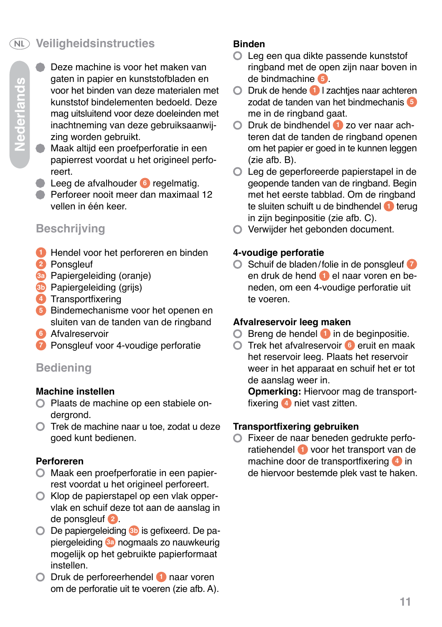# **Veiligheidsinstructies**

- Deze machine is voor het maken van gaten in papier en kunststofbladen en voor het binden van deze materialen met kunststof bindelementen bedoeld. Deze mag uitsluitend voor deze doeleinden met inachtneming van deze gebruiksaanwijzing worden gebruikt.
- Maak altijd een proefperforatie in een papierrest voordat u het origineel perforeert.
- **O** Leeg de afvalhouder **6** regelmatig.
- Perforeer nooit meer dan maximaal 12 vellen in één keer.

# **Beschrijving**

- **1** Hendel voor het perforeren en binden
- **2** Ponsgleuf
- **3a** Papiergeleiding (oranje)
- **3b** Papiergeleiding (grijs)
- **4** Transportfixering
- **5** Bindemechanisme voor het openen en sluiten van de tanden van de ringband
- **6** Afvalreservoir
- **7** Ponsgleuf voor 4-voudige perforatie

# **Bediening**

# **Machine instellen**

- Plaats de machine op een stabiele ondergrond.
- Trek de machine naar u toe, zodat u deze goed kunt bedienen.

# **Perforeren**

- Maak een proefperforatie in een papierrest voordat u het origineel perforeert.
- Klop de papierstapel op een vlak oppervlak en schuif deze tot aan de aanslag in de ponsgleuf **2** .
- De papiergeleiding **3b** is gefixeerd. De papiergeleiding **3a** nogmaals zo nauwkeurig mogelijk op het gebruikte papierformaat instellen.
- Druk de perforeerhendel **1** naar voren om de perforatie uit te voeren (zie afb. A).

# **Binden**

- $\bigcirc$  Leg een qua dikte passende kunststof ringband met de open zijn naar boven in de bindmachine **5** .
- Druk de hende **1** l zachtjes naar achteren zodat de tanden van het bindmechanis **5** me in de ringband gaat.
- Druk de bindhendel **1** zo ver naar achteren dat de tanden de ringband openen om het papier er goed in te kunnen leggen (zie afb. B).
- Leg de geperforeerde papierstapel in de geopende tanden van de ringband. Begin met het eerste tabblad. Om de ringband te sluiten schuift u de bindhendel **1** terug in zijn beginpositie (zie afb. C).
- Verwijder het gebonden document.

# **4-voudige perforatie**

**O** Schuif de bladen/folie in de ponsgleuf en druk de hend **1** el naar voren en beneden, om een 4-voudige perforatie uit te voeren.

# **Afvalreservoir leeg maken**

- Breng de hendel **1** in de beginpositie.
- Trek het afvalreservoir **6** eruit en maak het reservoir leeg. Plaats het reservoir weer in het apparaat en schuif het er tot de aanslag weer in.

**Opmerking:** Hiervoor mag de transportfixering **4** niet vast zitten.

# **Transportfixering gebruiken**

 Fixeer de naar beneden gedrukte perforatiehendel **1** voor het transport van de machine door de transportfixering **4** in de hiervoor bestemde plek vast te haken.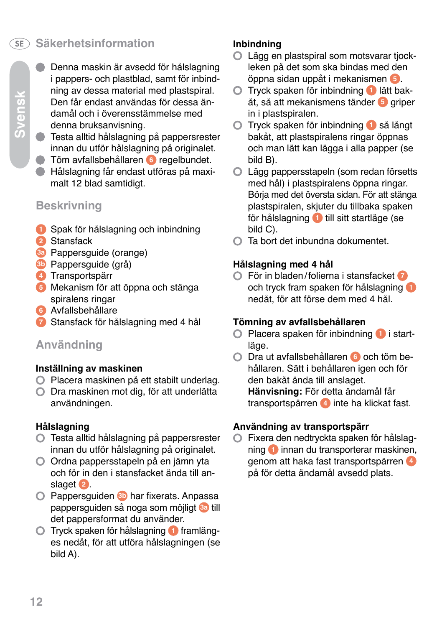# **Säkerhetsinformation**

- Denna maskin är avsedd för hålslagning i pappers- och plastblad, samt för inbindning av dessa material med plastspiral. Den får endast användas för dessa ändamål och i överensstämmelse med denna bruksanvisning.
- **O** Testa alltid hålslagning på pappersrester innan du utför hålslagning på originalet.
- Töm avfallsbehållaren **6** regelbundet.
- Hålslagning får endast utföras på maximalt 12 blad samtidigt.

# **Beskrivning**

- **1** Spak för hålslagning och inbindning
- **2** Stansfack
- **3a** Pappersguide (orange)
- **3b** Pappersguide (grå)
- **4** Transportspärr
- **5** Mekanism för att öppna och stänga spiralens ringar
- **6** Avfallsbehållare
- **7** Stansfack för hålslagning med 4 hål

# **Användning**

# **Inställning av maskinen**

- Placera maskinen på ett stabilt underlag.
- Dra maskinen mot dig, för att underlätta användningen.

# **Hålslagning**

- Testa alltid hålslagning på pappersrester innan du utför hålslagning på originalet.
- Ordna pappersstapeln på en jämn yta och för in den i stansfacket ända till anslaget **2** .
- Pappersguiden **3b** har fixerats. Anpassa pappersguiden så noga som möjligt **3a** till det pappersformat du använder.
- Tryck spaken för hålslagning **1** framlänges nedåt, för att utföra hålslagningen (se bild A).

# **Inbindning**

- Lägg en plastspiral som motsvarar tjock- $\Omega$ leken på det som ska bindas med den öppna sidan uppåt i mekanismen **5** .
- Tryck spaken för inbindning **1** lätt bakåt, så att mekanismens tänder **5** griper in i plastspiralen.
- Tryck spaken för inbindning **1** så långt bakåt, att plastspiralens ringar öppnas och man lätt kan lägga i alla papper (se bild B).
- Lägg pappersstapeln (som redan försetts med hål) i plastspiralens öppna ringar. Börja med det översta sidan. För att stänga plastspiralen, skjuter du tillbaka spaken för hålslagning **1** till sitt startläge (se bild C).
- Ta bort det inbundna dokumentet.

# **Hålslagning med 4 hål**

 För in bladen/folierna i stansfacket **7** och tryck fram spaken för hålslagning **1** nedåt, för att förse dem med 4 hål.

# **Tömning av avfallsbehållaren**

- Placera spaken för inbindning **1** i startläge.
- Dra ut avfallsbehållaren **6** och töm behållaren. Sätt i behållaren igen och för den bakåt ända till anslaget. **Hänvisning:** För detta ändamål får transportspärren **4** inte ha klickat fast.

# **Användning av transportspärr**

 Fixera den nedtryckta spaken för hålslagning **1** innan du transporterar maskinen, genom att haka fast transportspärren **4** på för detta ändamål avsedd plats.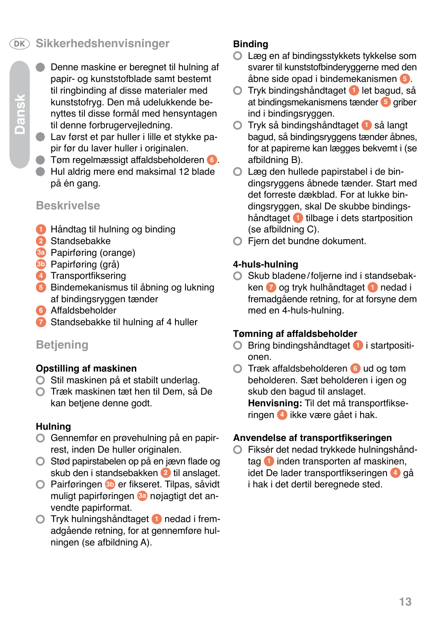# **Sikkerhedshenvisninger**

- Denne maskine er beregnet til hulning af papir- og kunststofblade samt bestemt til ringbinding af disse materialer med kunststofryg. Den må udelukkende benyttes til disse formål med hensyntagen til denne forbrugervejledning.
- Lav først et par huller i lille et stykke papir før du laver huller i originalen.
- Tøm regelmæssigt affaldsbeholderen **6** .
- Hul aldrig mere end maksimal 12 blade på én gang.

# **Beskrivelse**

- **1** Håndtag til hulning og binding
- **2** Standsebakke
- **3a** Papirføring (orange)
- **3b** Papirføring (grå)
- **4** Transportfiksering
- **5** Bindemekanismus til åbning og lukning af bindingsryggen tænder
- **6** Affaldsbeholder
- **7** Standsebakke til hulning af 4 huller

# **Betjening**

# **Opstilling af maskinen**

- O Stil maskinen på et stabilt underlag.
- Træk maskinen tæt hen til Dem, så De kan betjene denne godt.

#### **Hulning**

- Gennemfør en prøvehulning på en papirrest, inden De huller originalen.
- Stød papirstabelen op på en jævn flade og skub den i standsebakken **2** til anslaget.
- Pairføringen **3b** er fikseret. Tilpas, såvidt muligt papirføringen **3a** nøjagtigt det anvendte papirformat.
- Tryk hulningshåndtaget **1** nedad i fremadgående retning, for at gennemføre hulningen (se afbildning A).

# **Binding**

- Læg en af bindingsstykkets tykkelse som svarer til kunststofbinderyggerne med den åbne side opad i bindemekanismen **5** .
- Tryk bindingshåndtaget **1** let bagud, så at bindingsmekanismens tænder **5** griber ind i bindingsryggen.
- Tryk så bindingshåndtaget **1** så langt bagud, så bindingsryggens tænder åbnes, for at papirerne kan lægges bekvemt i (se afbildning B).
- Læg den hullede papirstabel i de bindingsryggens åbnede tænder. Start med det forreste dækblad. For at lukke bindingsryggen, skal De skubbe bindingshåndtaget **1** tilbage i dets startposition (se afbildning C).
- **O** Fiern det bundne dokument.

# **4-huls-hulning**

Skub bladene/foljerne ind i standsebakken **7** og tryk hulhåndtaget **1** nedad i fremadgående retning, for at forsyne dem med en 4-huls-hulning.

# **Tømning af affaldsbeholder**

- Bring bindingshåndtaget **1** i startpositionen.
- Træk affaldsbeholderen **6** ud og tøm beholderen. Sæt beholderen i igen og skub den bagud til anslaget. **Henvisning:** Til det må transportfikseringen **4** ikke være gået i hak.

# **Anvendelse af transportfikseringen**

Fiksér det nedad trykkede hulningshånd- $\circ$ tag **1** inden transporten af maskinen, idet De lader transportfikseringen **4** gå i hak i det dertil beregnede sted.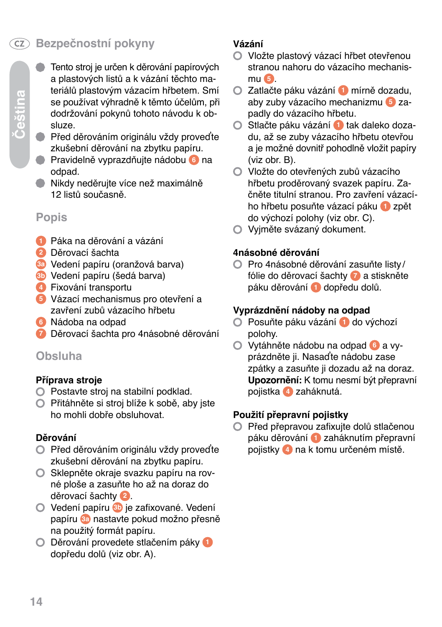# **Bezpečnostní pokyny**

- **Čeština**
- **O** Tento stroj je určen k děrování papírových a plastových listů a k vázání těchto materiálů plastovým vázacím hřbetem. Smí se používat výhradně k těmto účelům, při dodržování pokynů tohoto návodu k obsluze.
- **O** Před děrováním originálu vždy proveďte zkušební děrování na zbytku papíru.
- Pravidelně vyprazdňujte nádobu **6** na odpad.
- Nikdy neděrujte více než maximálně 12 listů současně.

# **Popis**

- **1** Páka na děrování a vázání
- **2** Děrovací šachta
- **3a** Vedení papíru (oranžová barva)
- **3b** Vedení papíru (šedá barva)
- **4** Fixování transportu
- **5** Vázací mechanismus pro otevření a zavření zubů vázacího hřbetu
- **6** Nádoba na odpad
- **7** Děrovací šachta pro 4násobné děrování

# **Obsluha**

# **Příprava stroje**

- O Postavte stroj na stabilní podklad.
- Přitáhněte si stroj blíže k sobě, aby jste ho mohli dobře obsluhovat.

# **Děrování**

- Před děrováním originálu vždy proveďte zkušební děrování na zbytku papíru.
- O Sklepněte okraje svazku papíru na rovné ploše a zasuňte ho až na doraz do děrovací šachty **2** .
- Vedení papíru **3b** je zafixované. Vedení papíru **3a** nastavte pokud možno přesně na použitý formát papíru.
- Děrování provedete stlačením páky **1** dopředu dolů (viz obr. A).

# **Vázání**

- Vložte plastový vázací hřbet otevřenou stranou nahoru do vázacího mechanismu **5** .
- Zatlačte páku vázání **1** mírně dozadu, aby zuby vázacího mechanizmu **5** zapadly do vázacího hřbetu.
- Stlačte páku vázání **1** tak daleko dozadu, až se zuby vázacího hřbetu otevřou a je možné dovnitř pohodlně vložit papíry (viz obr. B).
- Vložte do otevřených zubů vázacího hřbetu proděrovaný svazek papíru. Začněte titulní stranou. Pro zavření vázacího hřbetu posuňte vázací páku **1** zpět do výchozí polohy (viz obr. C).
- Vyjměte svázaný dokument.

# **4násobné děrování**

O Pro 4násobné děrování zasuňte listy/ fólie do děrovací šachty **7** a stiskněte páku děrování **1** dopředu dolů.

# **Vyprázdnění nádoby na odpad**

- Posuňte páku vázání **1** do výchozí polohy.
- Vytáhněte nádobu na odpad **6** a vyprázdněte ji. Nasaďte nádobu zase zpátky a zasuňte ji dozadu až na doraz. **Upozornění:** K tomu nesmí být přepravní pojistka **4** zaháknutá.

# **Použití přepravní pojistky**

Před přepravou zafixujte dolů stlačenou  $\Omega$ páku děrování **1** zaháknutím přepravní pojistky **4** na k tomu určeném místě.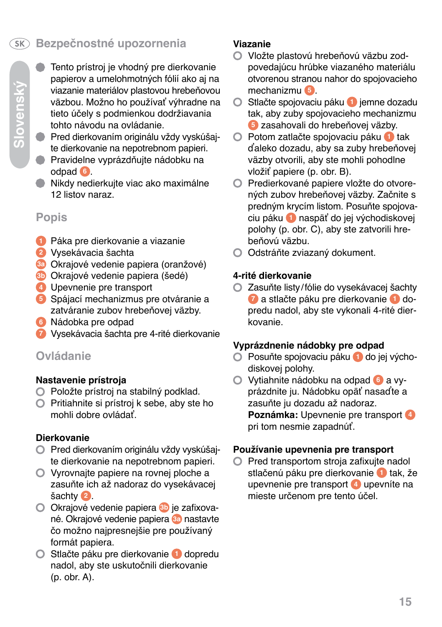# **Bezpečnostné upozornenia**

- **O** Tento prístroj je vhodný pre dierkovanie papierov a umelohmotných fólií ako aj na viazanie materiálov plastovou hrebeňovou väzbou. Možno ho používať výhradne na tieto účely s podmienkou dodržiavania tohto návodu na ovládanie.
- **O** Pred dierkovaním originálu vždy vyskúšajte dierkovanie na nepotrebnom papieri.
- **O** Pravidelne vyprázdňujte nádobku na odpad **6** .
- Nikdy nedierkujte viac ako maximálne 12 listov naraz.

# **Popis**

- **1** Páka pre dierkovanie a viazanie
- **2** Vysekávacia šachta
- **3a** Okrajové vedenie papiera (oranžové)
- **3b** Okrajové vedenie papiera (šedé)
- **4** Upevnenie pre transport
- **5** Spájací mechanizmus pre otváranie a zatváranie zubov hrebeňovej väzby.
- **6** Nádobka pre odpad
- **7** Vysekávacia šachta pre 4-rité dierkovanie

# **Ovládanie**

# **Nastavenie prístroja**

- Položte prístroj na stabilný podklad.
- Pritiahnite si prístroj k sebe, aby ste ho mohli dobre ovládať.

# **Dierkovanie**

- Pred dierkovaním originálu vždy vyskúšajte dierkovanie na nepotrebnom papieri.
- Vyrovnajte papiere na rovnej ploche a zasuňte ich až nadoraz do vysekávacej šachty **2** .
- Okrajové vedenie papiera **3b** je zafixované. Okrajové vedenie papiera **3a** nastavte čo možno najpresnejšie pre používaný formát papiera.
- Stlačte páku pre dierkovanie **1** dopredu nadol, aby ste uskutočnili dierkovanie (p. obr. A).

# **Viazanie**

- Vložte plastovú hrebeňovú väzbu zodpovedajúcu hrúbke viazaného materiálu otvorenou stranou nahor do spojovacieho mechanizmu **5** .
- Stlačte spojovaciu páku **1** jemne dozadu  $\Omega$ tak, aby zuby spojovacieho mechanizmu **5** zasahovali do hrebeňovej väzby.
- Potom zatlačte spojovaciu páku **1** tak ďaleko dozadu, aby sa zuby hrebeňovej väzby otvorili, aby ste mohli pohodlne vložiť papiere (p. obr. B).
- Predierkované papiere vložte do otvorených zubov hrebeňovej väzby. Začnite s predným krycím listom. Posuňte spojovaciu páku **1** naspäť do jej východiskovej polohy (p. obr. C), aby ste zatvorili hrebeňovú väzbu.
- O Odstráňte zviazaný dokument.

# **4-rité dierkovanie**

Zasuňte listy/fólie do vysekávacej šachty **7** a stlačte páku pre dierkovanie **1** dopredu nadol, aby ste vykonali 4-rité dierkovanie.

# **Vyprázdnenie nádobky pre odpad**

- Posuňte spojovaciu páku **1** do jej výcho- $\bigcap$ diskovej polohy.
- Vytiahnite nádobku na odpad **6** a vyprázdnite ju. Nádobku opäť nasaďte a zasuňte ju dozadu až nadoraz. **Poznámka:** Upevnenie pre transport **4** pri tom nesmie zapadnúť.

# **Používanie upevnenia pre transport**

Pred transportom stroja zafixujte nadol  $\bigcirc$ stlačenú páku pre dierkovanie **1** tak, že upevnenie pre transport **4** upevníte na mieste určenom pre tento účel.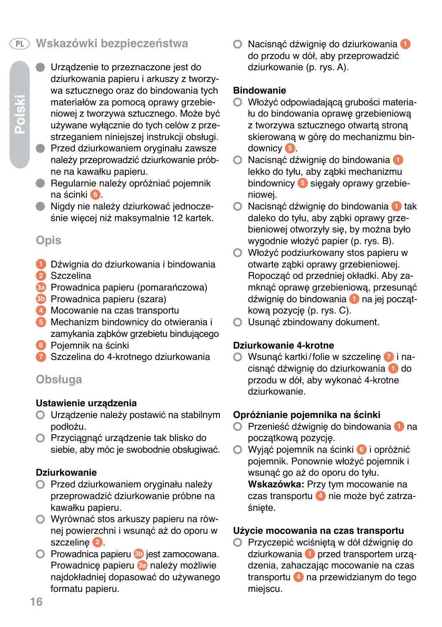# **Wskazówki bezpieczeństwa**

- Urządzenie to przeznaczone jest do dziurkowania papieru i arkuszy z tworzywa sztucznego oraz do bindowania tych materiałów za pomocą oprawy grzebieniowej z tworzywa sztucznego. Może być używane wyłącznie do tych celów z przestrzeganiem niniejszej instrukcji obsługi.
- **O** Przed dziurkowaniem oryginału zawsze należy przeprowadzić dziurkowanie próbne na kawałku papieru.
- **C** Regularnie należy opróżniać pojemnik na ścinki **6** .
- Nigdy nie należy dziurkować jednocześnie więcej niż maksymalnie 12 kartek.

# **Opis**

- **1** Dźwignia do dziurkowania i bindowania
- **2** Szczelina
- **3a** Prowadnica papieru (pomarańczowa)
- **3b** Prowadnica papieru (szara)
- **4** Mocowanie na czas transportu
- **5** Mechanizm bindownicy do otwierania i zamykania ząbków grzebietu bindującego
- **6** Pojemnik na ścinki
- **7** Szczelina do 4-krotnego dziurkowania

# **Obsługa**

# **Ustawienie urządzenia**

- Urządzenie należy postawić na stabilnym podłożu.
- Przyciągnąć urządzenie tak blisko do siebie, aby móc je swobodnie obsługiwać.

# **Dziurkowanie**

- Przed dziurkowaniem oryginału należy przeprowadzić dziurkowanie próbne na kawałku papieru.
- Wyrównać stos arkuszy papieru na równej powierzchni i wsunąć aż do oporu w szczelinę **2** .
- Prowadnica papieru **3b** jest zamocowana. Prowadnicę papieru **3a** należy możliwie najdokładniej dopasować do używanego formatu papieru.

Nacisnąć dźwignię do dziurkowania **1** do przodu w dół, aby przeprowadzić dziurkowanie (p. rys. A).

# **Bindowanie**<br> **O** Włożyć or

- Włożyć odpowiadającą grubości materiału do bindowania oprawę grzebieniową z tworzywa sztucznego otwartą stroną skierowaną w górę do mechanizmu bindownicy **5** .
- $\circ$ Nacisnąć dźwignię do bindowania **1** lekko do tyłu, aby ząbki mechanizmu bindownicy **5** sięgały oprawy grzebieniowej.
- $\circ$ Nacisnąć dźwignię do bindowania **1** tak daleko do tyłu, aby ząbki oprawy grzebieniowej otworzyły się, by można było wygodnie włożyć papier (p. rys. B).
- Włożyć podziurkowany stos papieru w otwarte ząbki oprawy grzebieniowej. Ropocząć od przedniej okładki. Aby zamknąć oprawę grzebieniową, przesunąć dźwignię do bindowania **1** na jej początkową pozycję (p. rys. C).
- Usunąć zbindowany dokument.

# **Dziurkowanie 4-krotne**

Wsunąć kartki/folie w szczelinę **7** i nacisnąć dźwignię do dziurkowania **1** do przodu w dół, aby wykonać 4-krotne dziurkowanie.

# **Opróżnianie pojemnika na ścinki**

- Przenieść dźwignię do bindowania **1** na  $\Omega$ początkową pozycję.
- Wyjąć pojemnik na ścinki **6** i opróżnić  $\circ$ pojemnik. Ponownie włożyć pojemnik i wsunąć go aż do oporu do tyłu. **Wskazówka:** Przy tym mocowanie na czas transportu **4** nie może być zatrzaśniete.

# **Użycie mocowania na czas transportu**

Przyczepić wciśniętą w dół dźwignię do dziurkowania **1** przed transportem urządzenia, zahaczając mocowanie na czas transportu **4** na przewidzianym do tego miejscu.

# **Polski**